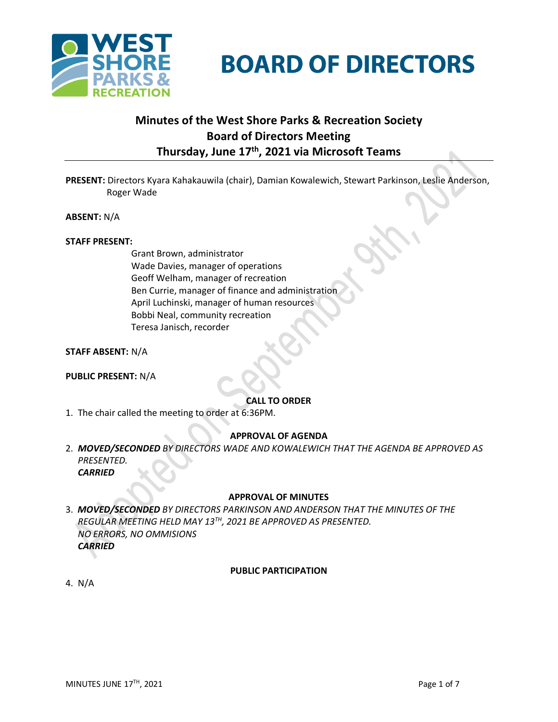

# **BOARD OF DIRECTORS**

## **Minutes of the West Shore Parks & Recreation Society Board of Directors Meeting Thursday, June 17 th , 2021 via Microsoft Teams**

**PRESENT:** Directors Kyara Kahakauwila (chair), Damian Kowalewich, Stewart Parkinson, Leslie Anderson, Roger Wade

**ABSENT:** N/A

#### **STAFF PRESENT:**

Grant Brown, administrator Wade Davies, manager of operations Geoff Welham, manager of recreation Ben Currie, manager of finance and administration April Luchinski, manager of human resources Bobbi Neal, community recreation Teresa Janisch, recorder

**STAFF ABSENT:** N/A

**PUBLIC PRESENT:** N/A

#### **CALL TO ORDER**

1. The chair called the meeting to order at 6:36PM.

#### **APPROVAL OF AGENDA**

2. *MOVED/SECONDED BY DIRECTORS WADE AND KOWALEWICH THAT THE AGENDA BE APPROVED AS PRESENTED. CARRIED*

#### **APPROVAL OF MINUTES**

3. *MOVED/SECONDED BY DIRECTORS PARKINSON AND ANDERSON THAT THE MINUTES OF THE REGULAR MEETING HELD MAY 13TH, 2021 BE APPROVED AS PRESENTED. NO ERRORS, NO OMMISIONS CARRIED*

#### **PUBLIC PARTICIPATION**

4. N/A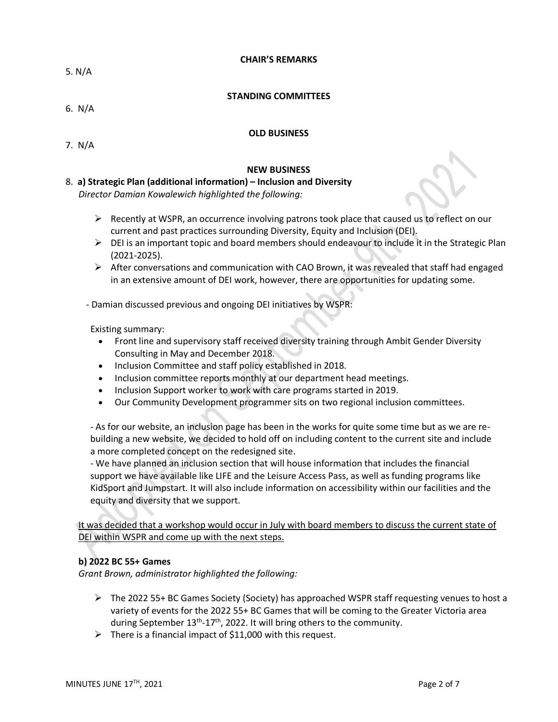**CHAIR'S REMARKS**

5. N/A

#### **STANDING COMMITTEES**

6. N/A

#### **OLD BUSINESS**

7. N/A

#### **NEW BUSINESS**

#### 8. **a) Strategic Plan (additional information) – Inclusion and Diversity**

*Director Damian Kowalewich highlighted the following:*

- $\triangleright$  Recently at WSPR, an occurrence involving patrons took place that caused us to reflect on our current and past practices surrounding Diversity, Equity and Inclusion (DEI).
- $\triangleright$  DEI is an important topic and board members should endeavour to include it in the Strategic Plan (2021-2025).
- $\triangleright$  After conversations and communication with CAO Brown, it was revealed that staff had engaged in an extensive amount of DEI work, however, there are opportunities for updating some.
- Damian discussed previous and ongoing DEI initiatives by WSPR:

Existing summary:

- Front line and supervisory staff received diversity training through Ambit Gender Diversity Consulting in May and December 2018.
- Inclusion Committee and staff policy established in 2018.
- Inclusion committee reports monthly at our department head meetings.
- Inclusion Support worker to work with care programs started in 2019.
- Our Community Development programmer sits on two regional inclusion committees.

- As for our website, an inclusion page has been in the works for quite some time but as we are rebuilding a new website, we decided to hold off on including content to the current site and include a more completed concept on the redesigned site.

- We have planned an inclusion section that will house information that includes the financial support we have available like LIFE and the Leisure Access Pass, as well as funding programs like KidSport and Jumpstart. It will also include information on accessibility within our facilities and the equity and diversity that we support.

It was decided that a workshop would occur in July with board members to discuss the current state of DEI within WSPR and come up with the next steps.

#### **b) 2022 BC 55+ Games**

*Grant Brown, administrator highlighted the following:*

- $\triangleright$  The 2022 55+ BC Games Society (Society) has approached WSPR staff requesting venues to host a variety of events for the 2022 55+ BC Games that will be coming to the Greater Victoria area during September 13<sup>th</sup>-17<sup>th</sup>, 2022. It will bring others to the community.
- $\triangleright$  There is a financial impact of \$11,000 with this request.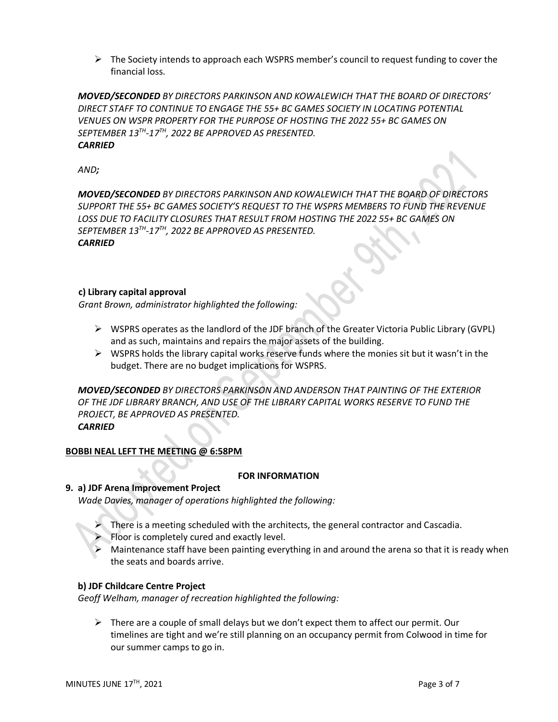$\triangleright$  The Society intends to approach each WSPRS member's council to request funding to cover the financial loss.

*MOVED/SECONDED BY DIRECTORS PARKINSON AND KOWALEWICH THAT THE BOARD OF DIRECTORS' DIRECT STAFF TO CONTINUE TO ENGAGE THE 55+ BC GAMES SOCIETY IN LOCATING POTENTIAL VENUES ON WSPR PROPERTY FOR THE PURPOSE OF HOSTING THE 2022 55+ BC GAMES ON SEPTEMBER 13TH -17TH, 2022 BE APPROVED AS PRESENTED. CARRIED*

*AND;*

*MOVED/SECONDED BY DIRECTORS PARKINSON AND KOWALEWICH THAT THE BOARD OF DIRECTORS SUPPORT THE 55+ BC GAMES SOCIETY'S REQUEST TO THE WSPRS MEMBERS TO FUND THE REVENUE LOSS DUE TO FACILITY CLOSURES THAT RESULT FROM HOSTING THE 2022 55+ BC GAMES ON SEPTEMBER 13TH -17TH, 2022 BE APPROVED AS PRESENTED. CARRIED*

#### **c) Library capital approval**

*Grant Brown, administrator highlighted the following:*

- ➢ WSPRS operates as the landlord of the JDF branch of the Greater Victoria Public Library (GVPL) and as such, maintains and repairs the major assets of the building.
- $\triangleright$  WSPRS holds the library capital works reserve funds where the monies sit but it wasn't in the budget. There are no budget implications for WSPRS.

*MOVED/SECONDED BY DIRECTORS PARKINSON AND ANDERSON THAT PAINTING OF THE EXTERIOR OF THE JDF LIBRARY BRANCH, AND USE OF THE LIBRARY CAPITAL WORKS RESERVE TO FUND THE PROJECT, BE APPROVED AS PRESENTED. CARRIED*

#### **BOBBI NEAL LEFT THE MEETING @ 6:58PM**

#### **FOR INFORMATION**

#### **9. a) JDF Arena Improvement Project**

*Wade Davies, manager of operations highlighted the following:*

- ➢ There is a meeting scheduled with the architects, the general contractor and Cascadia.
- Floor is completely cured and exactly level.
- Maintenance staff have been painting everything in and around the arena so that it is ready when the seats and boards arrive.

#### **b) JDF Childcare Centre Project**

*Geoff Welham, manager of recreation highlighted the following:*

 $\triangleright$  There are a couple of small delays but we don't expect them to affect our permit. Our timelines are tight and we're still planning on an occupancy permit from Colwood in time for our summer camps to go in.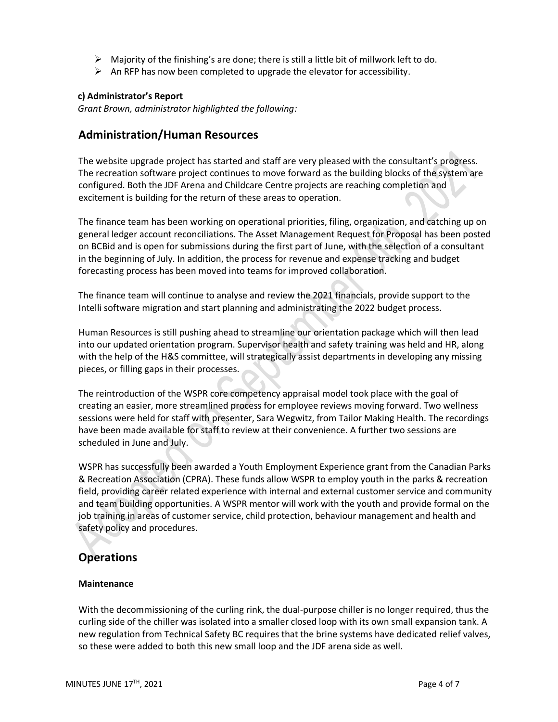- $\triangleright$  Majority of the finishing's are done; there is still a little bit of millwork left to do.
- $\triangleright$  An RFP has now been completed to upgrade the elevator for accessibility.

#### **c) Administrator's Report**

*Grant Brown, administrator highlighted the following:*

## **Administration/Human Resources**

The website upgrade project has started and staff are very pleased with the consultant's progress. The recreation software project continues to move forward as the building blocks of the system are configured. Both the JDF Arena and Childcare Centre projects are reaching completion and excitement is building for the return of these areas to operation.

The finance team has been working on operational priorities, filing, organization, and catching up on general ledger account reconciliations. The Asset Management Request for Proposal has been posted on BCBid and is open for submissions during the first part of June, with the selection of a consultant in the beginning of July. In addition, the process for revenue and expense tracking and budget forecasting process has been moved into teams for improved collaboration.

The finance team will continue to analyse and review the 2021 financials, provide support to the Intelli software migration and start planning and administrating the 2022 budget process.

Human Resources is still pushing ahead to streamline our orientation package which will then lead into our updated orientation program. Supervisor health and safety training was held and HR, along with the help of the H&S committee, will strategically assist departments in developing any missing pieces, or filling gaps in their processes.

The reintroduction of the WSPR core competency appraisal model took place with the goal of creating an easier, more streamlined process for employee reviews moving forward. Two wellness sessions were held for staff with presenter, Sara Wegwitz, from Tailor Making Health. The recordings have been made available for staff to review at their convenience. A further two sessions are scheduled in June and July.

WSPR has successfully been awarded a Youth Employment Experience grant from the Canadian Parks & Recreation Association (CPRA). These funds allow WSPR to employ youth in the parks & recreation field, providing career related experience with internal and external customer service and community and team building opportunities. A WSPR mentor will work with the youth and provide formal on the job training in areas of customer service, child protection, behaviour management and health and safety policy and procedures.

## **Operations**

#### **Maintenance**

With the decommissioning of the curling rink, the dual-purpose chiller is no longer required, thus the curling side of the chiller was isolated into a smaller closed loop with its own small expansion tank. A new regulation from Technical Safety BC requires that the brine systems have dedicated relief valves, so these were added to both this new small loop and the JDF arena side as well.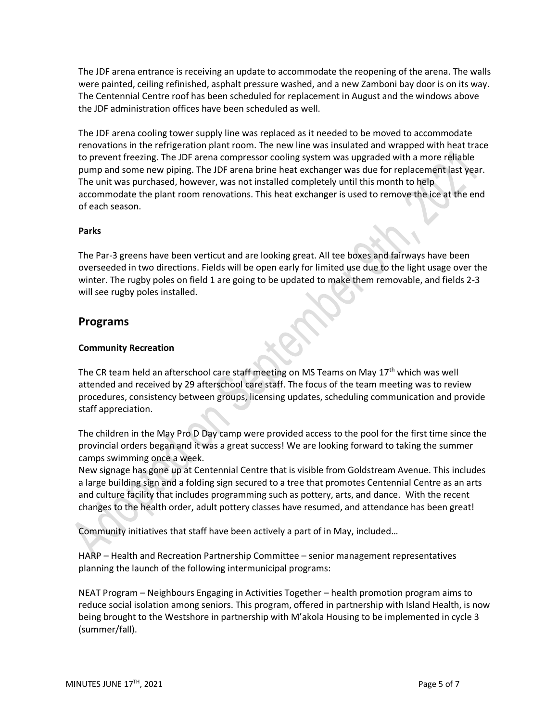The JDF arena entrance is receiving an update to accommodate the reopening of the arena. The walls were painted, ceiling refinished, asphalt pressure washed, and a new Zamboni bay door is on its way. The Centennial Centre roof has been scheduled for replacement in August and the windows above the JDF administration offices have been scheduled as well.

The JDF arena cooling tower supply line was replaced as it needed to be moved to accommodate renovations in the refrigeration plant room. The new line was insulated and wrapped with heat trace to prevent freezing. The JDF arena compressor cooling system was upgraded with a more reliable pump and some new piping. The JDF arena brine heat exchanger was due for replacement last year. The unit was purchased, however, was not installed completely until this month to help accommodate the plant room renovations. This heat exchanger is used to remove the ice at the end of each season.

#### **Parks**

The Par-3 greens have been verticut and are looking great. All tee boxes and fairways have been overseeded in two directions. Fields will be open early for limited use due to the light usage over the winter. The rugby poles on field 1 are going to be updated to make them removable, and fields 2-3 will see rugby poles installed.

### **Programs**

#### **Community Recreation**

The CR team held an afterschool care staff meeting on MS Teams on May  $17<sup>th</sup>$  which was well attended and received by 29 afterschool care staff. The focus of the team meeting was to review procedures, consistency between groups, licensing updates, scheduling communication and provide staff appreciation.

The children in the May Pro D Day camp were provided access to the pool for the first time since the provincial orders began and it was a great success! We are looking forward to taking the summer camps swimming once a week.

New signage has gone up at Centennial Centre that is visible from Goldstream Avenue. This includes a large building sign and a folding sign secured to a tree that promotes Centennial Centre as an arts and culture facility that includes programming such as pottery, arts, and dance. With the recent changes to the health order, adult pottery classes have resumed, and attendance has been great!

Community initiatives that staff have been actively a part of in May, included…

HARP – Health and Recreation Partnership Committee – senior management representatives planning the launch of the following intermunicipal programs:

NEAT Program – Neighbours Engaging in Activities Together – health promotion program aims to reduce social isolation among seniors. This program, offered in partnership with Island Health, is now being brought to the Westshore in partnership with M'akola Housing to be implemented in cycle 3 (summer/fall).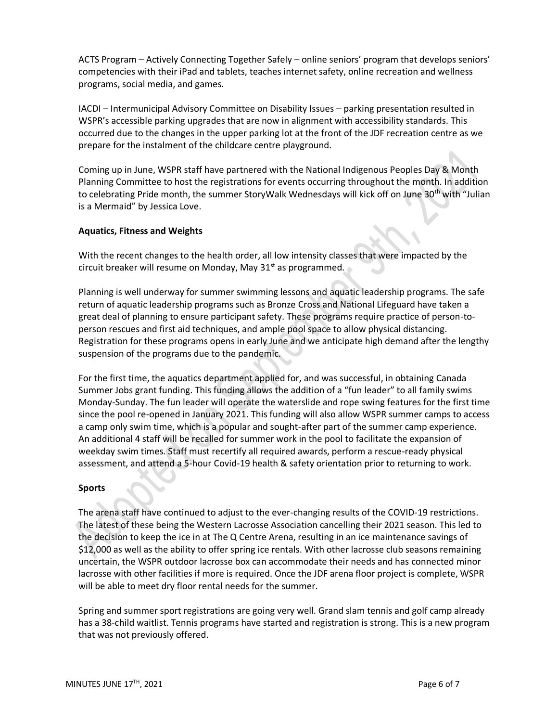ACTS Program – Actively Connecting Together Safely – online seniors' program that develops seniors' competencies with their iPad and tablets, teaches internet safety, online recreation and wellness programs, social media, and games.

IACDI – Intermunicipal Advisory Committee on Disability Issues – parking presentation resulted in WSPR's accessible parking upgrades that are now in alignment with accessibility standards. This occurred due to the changes in the upper parking lot at the front of the JDF recreation centre as we prepare for the instalment of the childcare centre playground.

Coming up in June, WSPR staff have partnered with the National Indigenous Peoples Day & Month Planning Committee to host the registrations for events occurring throughout the month. In addition to celebrating Pride month, the summer StoryWalk Wednesdays will kick off on June 30<sup>th</sup> with "Julian is a Mermaid" by Jessica Love.

#### **Aquatics, Fitness and Weights**

With the recent changes to the health order, all low intensity classes that were impacted by the circuit breaker will resume on Monday, May 31 $st$  as programmed.

Planning is well underway for summer swimming lessons and aquatic leadership programs. The safe return of aquatic leadership programs such as Bronze Cross and National Lifeguard have taken a great deal of planning to ensure participant safety. These programs require practice of person-toperson rescues and first aid techniques, and ample pool space to allow physical distancing. Registration for these programs opens in early June and we anticipate high demand after the lengthy suspension of the programs due to the pandemic.

For the first time, the aquatics department applied for, and was successful, in obtaining Canada Summer Jobs grant funding. This funding allows the addition of a "fun leader" to all family swims Monday-Sunday. The fun leader will operate the waterslide and rope swing features for the first time since the pool re-opened in January 2021. This funding will also allow WSPR summer camps to access a camp only swim time, which is a popular and sought-after part of the summer camp experience. An additional 4 staff will be recalled for summer work in the pool to facilitate the expansion of weekday swim times. Staff must recertify all required awards, perform a rescue-ready physical assessment, and attend a 5-hour Covid-19 health & safety orientation prior to returning to work.

#### **Sports**

The arena staff have continued to adjust to the ever-changing results of the COVID-19 restrictions. The latest of these being the Western Lacrosse Association cancelling their 2021 season. This led to the decision to keep the ice in at The Q Centre Arena, resulting in an ice maintenance savings of \$12,000 as well as the ability to offer spring ice rentals. With other lacrosse club seasons remaining uncertain, the WSPR outdoor lacrosse box can accommodate their needs and has connected minor lacrosse with other facilities if more is required. Once the JDF arena floor project is complete, WSPR will be able to meet dry floor rental needs for the summer.

Spring and summer sport registrations are going very well. Grand slam tennis and golf camp already has a 38-child waitlist. Tennis programs have started and registration is strong. This is a new program that was not previously offered.